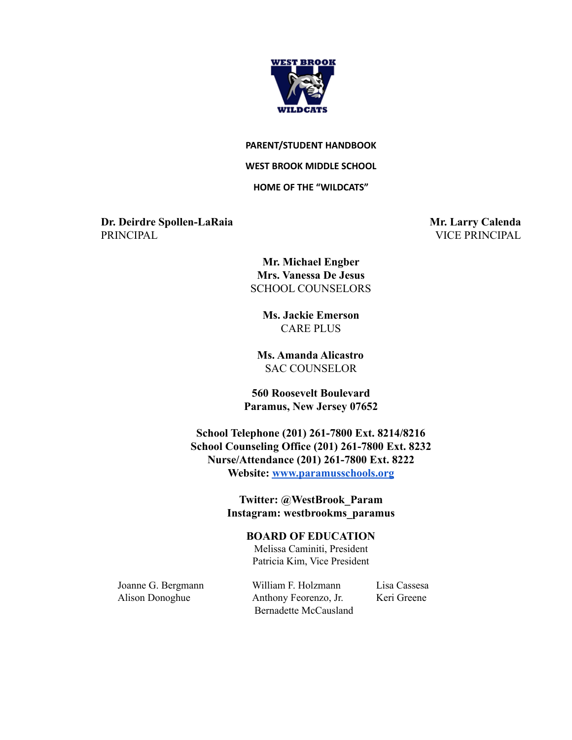

#### **PARENT/STUDENT HANDBOOK**

#### **WEST BROOK MIDDLE SCHOOL**

### **HOME OF THE "WILDCATS"**

**Dr. Deirdre Spollen-LaRaia Mr. Larry Calenda** PRINCIPAL VICE PRINCIPAL

**Mr. Michael Engber Mrs. Vanessa De Jesus** SCHOOL COUNSELORS

**Ms. Jackie Emerson** CARE PLUS

**Ms. Amanda Alicastro** SAC COUNSELOR

**560 Roosevelt Boulevard Paramus, New Jersey 07652**

**School Telephone (201) 261-7800 Ext. 8214/8216 School Counseling Office (201) 261-7800 Ext. 8232 Nurse/Attendance (201) 261-7800 Ext. 8222 Website: [www.paramusschools.org](http://www.paramusschools.org)**

> **Twitter: @WestBrook\_Param Instagram: westbrookms\_paramus**

#### **BOARD OF EDUCATION**

Melissa Caminiti, President Patricia Kim, Vice President

Joanne G. Bergmann William F. Holzmann Lisa Cassesa Alison Donoghue Anthony Feorenzo, Jr. Keri Greene Bernadette McCausland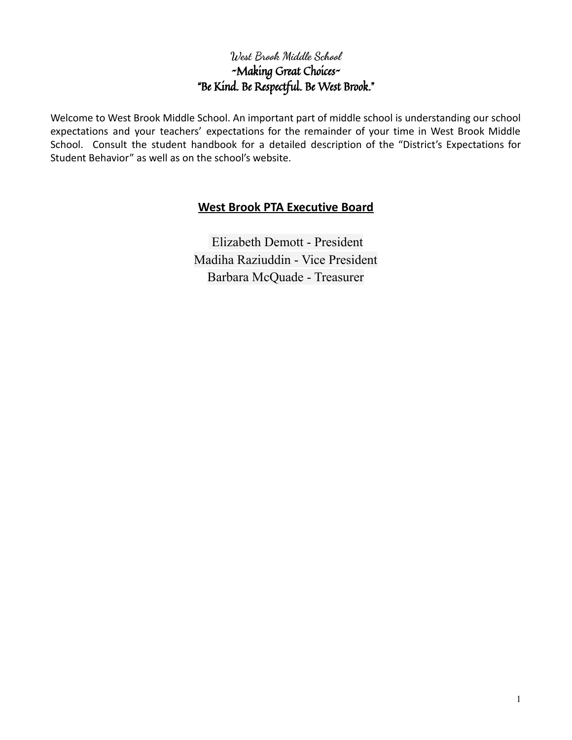# **West Brook Middle School** ~Making Great Choices~ "Be Kind. Be Respectful. Be West Brook."

Welcome to West Brook Middle School. An important part of middle school is understanding our school expectations and your teachers' expectations for the remainder of your time in West Brook Middle School. Consult the student handbook for a detailed description of the "District's Expectations for Student Behavior" as well as on the school's website.

# **West Brook PTA Executive Board**

Elizabeth Demott - President Madiha Raziuddin - Vice President Barbara McQuade - Treasurer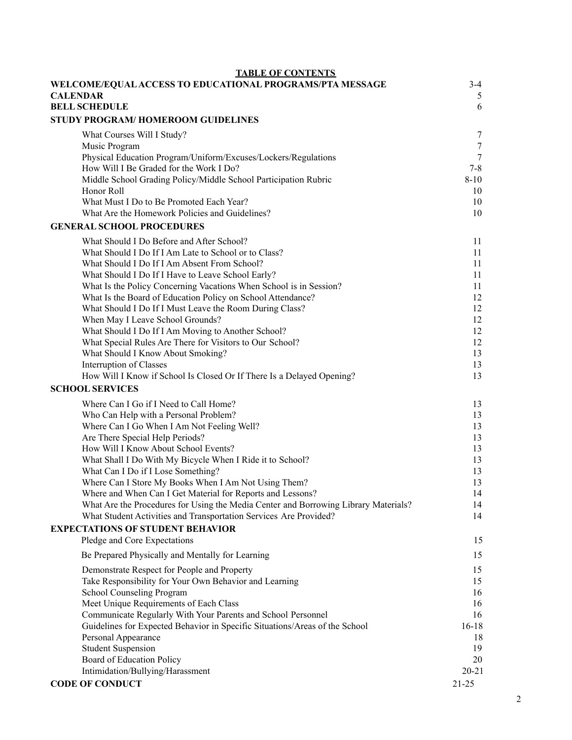| <b>TABLE OF CONTENTS</b>                                                                                               |                  |
|------------------------------------------------------------------------------------------------------------------------|------------------|
| WELCOME/EQUAL ACCESS TO EDUCATIONAL PROGRAMS/PTA MESSAGE<br><b>CALENDAR</b>                                            | $3-4$<br>5       |
| <b>BELL SCHEDULE</b>                                                                                                   | 6                |
| STUDY PROGRAM/HOMEROOM GUIDELINES                                                                                      |                  |
| What Courses Will I Study?                                                                                             | 7                |
| Music Program                                                                                                          | $\boldsymbol{7}$ |
| Physical Education Program/Uniform/Excuses/Lockers/Regulations                                                         | $\tau$           |
| How Will I Be Graded for the Work I Do?                                                                                | $7 - 8$          |
| Middle School Grading Policy/Middle School Participation Rubric                                                        | $8 - 10$         |
| Honor Roll                                                                                                             | 10               |
| What Must I Do to Be Promoted Each Year?                                                                               | 10               |
| What Are the Homework Policies and Guidelines?                                                                         | 10               |
| <b>GENERAL SCHOOL PROCEDURES</b>                                                                                       |                  |
| What Should I Do Before and After School?                                                                              | 11               |
| What Should I Do If I Am Late to School or to Class?                                                                   | 11               |
| What Should I Do If I Am Absent From School?                                                                           | 11               |
| What Should I Do If I Have to Leave School Early?                                                                      | 11               |
| What Is the Policy Concerning Vacations When School is in Session?                                                     | 11               |
| What Is the Board of Education Policy on School Attendance?<br>What Should I Do If I Must Leave the Room During Class? | 12<br>12         |
| When May I Leave School Grounds?                                                                                       | 12               |
| What Should I Do If I Am Moving to Another School?                                                                     | 12               |
| What Special Rules Are There for Visitors to Our School?                                                               | 12               |
| What Should I Know About Smoking?                                                                                      | 13               |
| Interruption of Classes                                                                                                | 13               |
| How Will I Know if School Is Closed Or If There Is a Delayed Opening?                                                  | 13               |
| <b>SCHOOL SERVICES</b>                                                                                                 |                  |
| Where Can I Go if I Need to Call Home?                                                                                 | 13               |
| Who Can Help with a Personal Problem?                                                                                  | 13               |
| Where Can I Go When I Am Not Feeling Well?                                                                             | 13               |
| Are There Special Help Periods?                                                                                        | 13               |
| How Will I Know About School Events?                                                                                   | 13               |
| What Shall I Do With My Bicycle When I Ride it to School?                                                              | 13               |
| What Can I Do if I Lose Something?                                                                                     | 13               |
| Where Can I Store My Books When I Am Not Using Them?<br>Where and When Can I Get Material for Reports and Lessons?     | 13<br>14         |
| What Are the Procedures for Using the Media Center and Borrowing Library Materials?                                    | 14               |
| What Student Activities and Transportation Services Are Provided?                                                      | 14               |
| <b>EXPECTATIONS OF STUDENT BEHAVIOR</b>                                                                                |                  |
| Pledge and Core Expectations                                                                                           | 15               |
| Be Prepared Physically and Mentally for Learning                                                                       | 15               |
| Demonstrate Respect for People and Property                                                                            | 15               |
| Take Responsibility for Your Own Behavior and Learning                                                                 | 15               |
| School Counseling Program                                                                                              | 16               |
| Meet Unique Requirements of Each Class                                                                                 | 16               |
| Communicate Regularly With Your Parents and School Personnel                                                           | 16               |
| Guidelines for Expected Behavior in Specific Situations/Areas of the School                                            | $16 - 18$        |
| Personal Appearance                                                                                                    | 18               |
| <b>Student Suspension</b>                                                                                              | 19               |
| Board of Education Policy<br>Intimidation/Bullying/Harassment                                                          | 20<br>20-21      |
| <b>CODE OF CONDUCT</b>                                                                                                 | $21 - 25$        |
|                                                                                                                        |                  |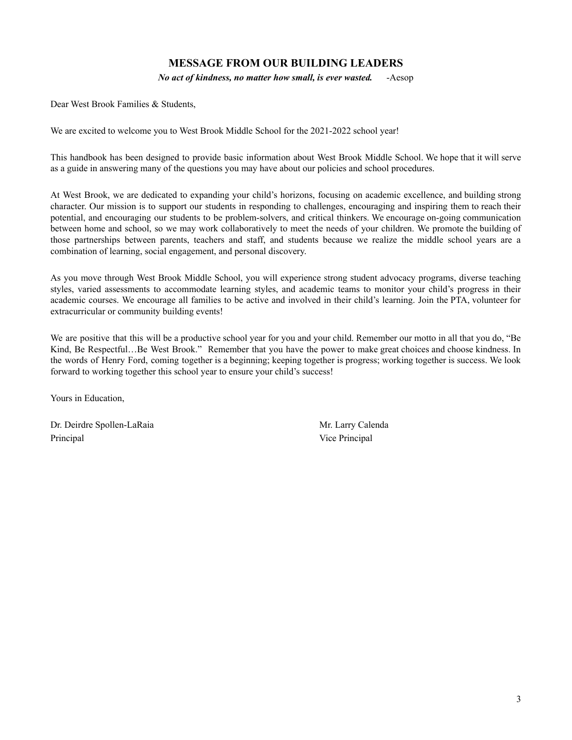### **MESSAGE FROM OUR BUILDING LEADERS**

*No act of kindness, no matter how small, is ever wasted.* -Aesop

Dear West Brook Families & Students,

We are excited to welcome you to West Brook Middle School for the 2021-2022 school year!

This handbook has been designed to provide basic information about West Brook Middle School. We hope that it will serve as a guide in answering many of the questions you may have about our policies and school procedures.

At West Brook, we are dedicated to expanding your child's horizons, focusing on academic excellence, and building strong character. Our mission is to support our students in responding to challenges, encouraging and inspiring them to reach their potential, and encouraging our students to be problem-solvers, and critical thinkers. We encourage on-going communication between home and school, so we may work collaboratively to meet the needs of your children. We promote the building of those partnerships between parents, teachers and staff, and students because we realize the middle school years are a combination of learning, social engagement, and personal discovery.

As you move through West Brook Middle School, you will experience strong student advocacy programs, diverse teaching styles, varied assessments to accommodate learning styles, and academic teams to monitor your child's progress in their academic courses. We encourage all families to be active and involved in their child's learning. Join the PTA, volunteer for extracurricular or community building events!

We are positive that this will be a productive school year for you and your child. Remember our motto in all that you do, "Be Kind, Be Respectful...Be West Brook." Remember that you have the power to make great choices and choose kindness. In the words of Henry Ford, coming together is a beginning; keeping together is progress; working together is success. We look forward to working together this school year to ensure your child's success!

Yours in Education,

Dr. Deirdre Spollen-LaRaia Mr. Larry Calenda Principal Vice Principal Vice Principal Vice Principal Vice Principal Vice Principal Vice Principal Vice Principal Vice Principal Vice Principal Vice Principal Vice Principal Vice Principal Vice Principal Vice Principal Vi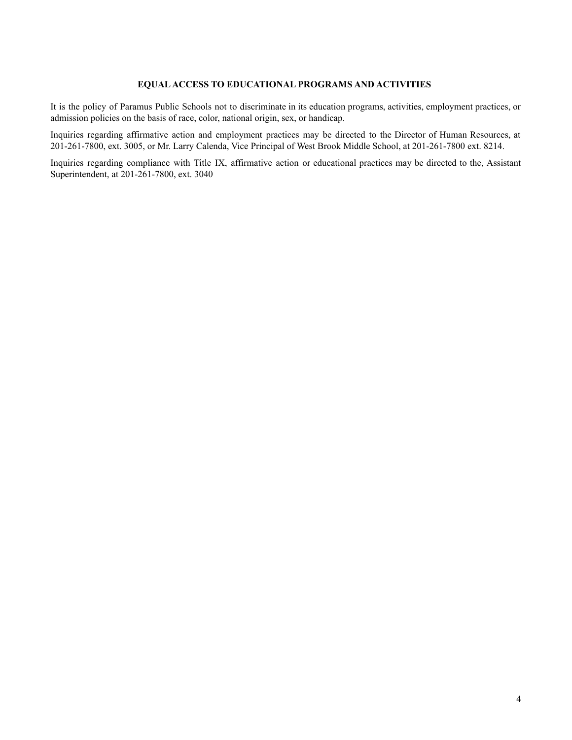#### **EQUALACCESS TO EDUCATIONAL PROGRAMS AND ACTIVITIES**

It is the policy of Paramus Public Schools not to discriminate in its education programs, activities, employment practices, or admission policies on the basis of race, color, national origin, sex, or handicap.

Inquiries regarding affirmative action and employment practices may be directed to the Director of Human Resources, at 201-261-7800, ext. 3005, or Mr. Larry Calenda, Vice Principal of West Brook Middle School, at 201-261-7800 ext. 8214.

Inquiries regarding compliance with Title IX, affirmative action or educational practices may be directed to the, Assistant Superintendent, at 201-261-7800, ext. 3040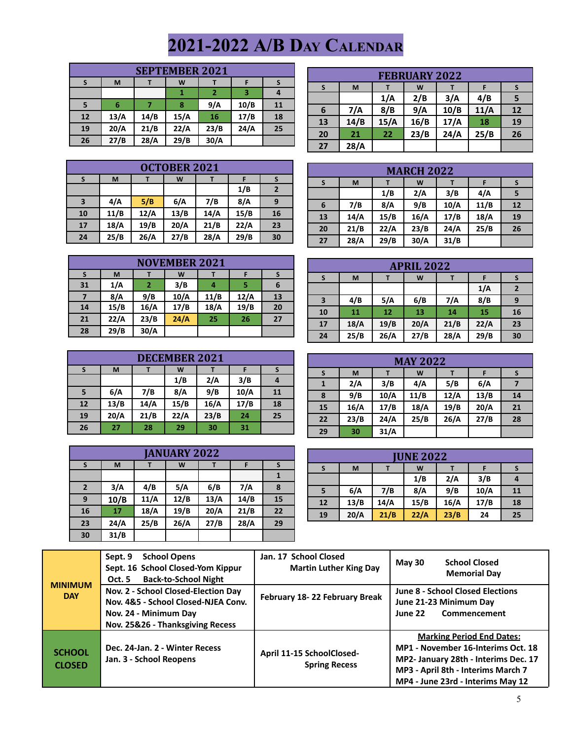# **2021-2022 A/B DAY CALENDAR**

|    | <b>SEPTEMBER 2021</b> |      |      |      |      |    |  |
|----|-----------------------|------|------|------|------|----|--|
|    | M                     |      | W    |      | F    |    |  |
|    |                       |      |      |      |      |    |  |
|    | 6                     |      | 8    | 9/A  | 10/B | 11 |  |
| 12 | 13/A                  | 14/B | 15/A | 16   | 17/B | 18 |  |
| 19 | 20/A                  | 21/B | 22/A | 23/B | 24/A | 25 |  |
| 26 | 27/B                  | 28/A | 29/B | 30/A |      |    |  |

| <b>FEBRUARY 2022</b>                         |      |      |      |      |      |    |  |  |
|----------------------------------------------|------|------|------|------|------|----|--|--|
| <b>S</b>                                     | M    |      | W    |      |      |    |  |  |
|                                              |      | 1/A  | 2/B  | 3/A  | 4/B  | 5  |  |  |
| 6                                            | 7/A  | 8/B  | 9/A  | 10/B | 11/A | 12 |  |  |
| 13                                           | 14/B | 15/A | 16/B | 17/A | 18   | 19 |  |  |
| 24/A<br>23/B<br>25/B<br>22<br>20<br>21<br>26 |      |      |      |      |      |    |  |  |
| 27                                           | 28/A |      |      |      |      |    |  |  |

|    | <b>OCTOBER 2021</b> |      |      |      |      |              |  |
|----|---------------------|------|------|------|------|--------------|--|
| S  | M                   |      | W    |      |      | S            |  |
|    |                     |      |      |      | 1/B  | $\mathbf{2}$ |  |
| 3  | 4/A                 | 5/B  | 6/A  | 7/B  | 8/A  | 9            |  |
| 10 | 11/B                | 12/A | 13/B | 14/A | 15/B | 16           |  |
| 17 | 18/A                | 19/B | 20/A | 21/B | 22/A | 23           |  |
| 24 | 25/B                | 26/A | 27/B | 28/A | 29/B | 30           |  |

|    | <b>MARCH 2022</b> |      |      |      |      |    |  |
|----|-------------------|------|------|------|------|----|--|
| S  | M                 |      | W    |      |      |    |  |
|    |                   | 1/B  | 2/A  | 3/B  | 4/A  |    |  |
| 6  | 7/B               | 8/A  | 9/B  | 10/A | 11/B | 12 |  |
| 13 | 14/A              | 15/B | 16/A | 17/B | 18/A | 19 |  |
| 20 | 21/B              | 22/A | 23/B | 24/A | 25/B | 26 |  |
| 27 | 28/A              | 29/B | 30/A | 31/B |      |    |  |

| <b>NOVEMBER 2021</b> |      |      |      |      |      |    |
|----------------------|------|------|------|------|------|----|
|                      | M    |      | W    |      |      |    |
| 31                   | 1/A  | 2    | 3/B  | 4    |      | 6  |
|                      | 8/A  | 9/B  | 10/A | 11/B | 12/A | 13 |
| 14                   | 15/B | 16/A | 17/B | 18/A | 19/B | 20 |
| 21                   | 22/A | 23/B | 24/A | 25   | 26   | 27 |
| 28                   | 29/B | 30/A |      |      |      |    |

| <b>DECEMBER 2021</b>                           |      |      |      |      |      |    |  |
|------------------------------------------------|------|------|------|------|------|----|--|
| S                                              | M    |      | W    |      |      | S  |  |
|                                                |      |      | 1/B  | 2/A  | 3/B  | 4  |  |
| 5                                              | 6/A  | 7/B  | 8/A  | 9/B  | 10/A | 11 |  |
| 12                                             | 13/B | 14/A | 15/B | 16/A | 17/B | 18 |  |
| 20/A<br>22/A<br>23/B<br>21/B<br>25<br>19<br>24 |      |      |      |      |      |    |  |
| 26                                             | 27   | 28   | 29   | 30   | 31   |    |  |

|                | <b>JANUARY 2022</b> |      |      |      |      |    |
|----------------|---------------------|------|------|------|------|----|
| S              | M                   |      | W    |      | F    |    |
|                |                     |      |      |      |      |    |
| $\overline{2}$ | 3/A                 | 4/B  | 5/A  | 6/B  | 7/A  | 8  |
| 9              | 10/B                | 11/A | 12/B | 13/A | 14/B | 15 |
| 16             | 17                  | 18/A | 19/B | 20/A | 21/B | 22 |
| 23             | 24/A                | 25/B | 26/A | 27/B | 28/A | 29 |
| 30             | 31/B                |      |      |      |      |    |

|                                                  |      |      | <b>APRIL 2022</b> |      |      |              |  |
|--------------------------------------------------|------|------|-------------------|------|------|--------------|--|
| S                                                | M    |      | W                 |      |      |              |  |
|                                                  |      |      |                   |      | 1/A  | $\mathbf{2}$ |  |
| 3                                                | 4/B  | 5/A  | 6/B               | 7/A  | 8/B  | 9            |  |
| 10                                               | 11   | 12   | 13                | 14   | 15   | 16           |  |
| 18/A<br>21/B<br>20/A<br>19/B<br>22/A<br>17<br>23 |      |      |                   |      |      |              |  |
| 24                                               | 25/B | 26/A | 27/B              | 28/A | 29/B | 30           |  |

|    | <b>MAY 2022</b> |      |      |      |      |    |
|----|-----------------|------|------|------|------|----|
| S  | M               |      | W    |      |      |    |
|    | 2/A             | 3/B  | 4/A  | 5/B  | 6/A  |    |
| 8  | 9/B             | 10/A | 11/B | 12/A | 13/B | 14 |
| 15 | 16/A            | 17/B | 18/A | 19/B | 20/A | 21 |
| 22 | 23/B            | 24/A | 25/B | 26/A | 27/B | 28 |
| 29 | 30              | 31/A |      |      |      |    |

|    | <b>IUNE 2022</b>  |      |      |      |      |    |  |
|----|-------------------|------|------|------|------|----|--|
|    | M                 |      | W    |      |      |    |  |
|    | 3/B<br>2/A<br>1/B |      |      |      |      |    |  |
| 5  | 6/A               | 7/B  | 8/A  | 9/B  | 10/A | 11 |  |
| 12 | 13/B              | 14/A | 15/B | 16/A | 17/B | 18 |  |
| 19 | 20/A              | 21/B | 22/A | 23/B | 24   | 25 |  |

| <b>MINIMUM</b><br><b>DAY</b>   | <b>School Opens</b><br>Sept. 9<br>Sept. 16 School Closed-Yom Kippur<br><b>Back-to-School Night</b><br>Oct. 5                            | Jan. 17 School Closed<br><b>Martin Luther King Day</b> | <b>School Closed</b><br>May 30<br><b>Memorial Day</b>                                                                                                                                     |
|--------------------------------|-----------------------------------------------------------------------------------------------------------------------------------------|--------------------------------------------------------|-------------------------------------------------------------------------------------------------------------------------------------------------------------------------------------------|
|                                | Nov. 2 - School Closed-Election Day<br>Nov. 4&5 - School Closed-NJEA Conv.<br>Nov. 24 - Minimum Day<br>Nov. 25&26 - Thanksgiving Recess | February 18-22 February Break                          | <b>June 8 - School Closed Elections</b><br>June 21-23 Minimum Day<br>Commencement<br>June 22                                                                                              |
| <b>SCHOOL</b><br><b>CLOSED</b> | Dec. 24-Jan. 2 - Winter Recess<br>Jan. 3 - School Reopens                                                                               | April 11-15 SchoolClosed-<br><b>Spring Recess</b>      | <b>Marking Period End Dates:</b><br>MP1 - November 16-Interims Oct. 18<br>MP2- January 28th - Interims Dec. 17<br>MP3 - April 8th - Interims March 7<br>MP4 - June 23rd - Interims May 12 |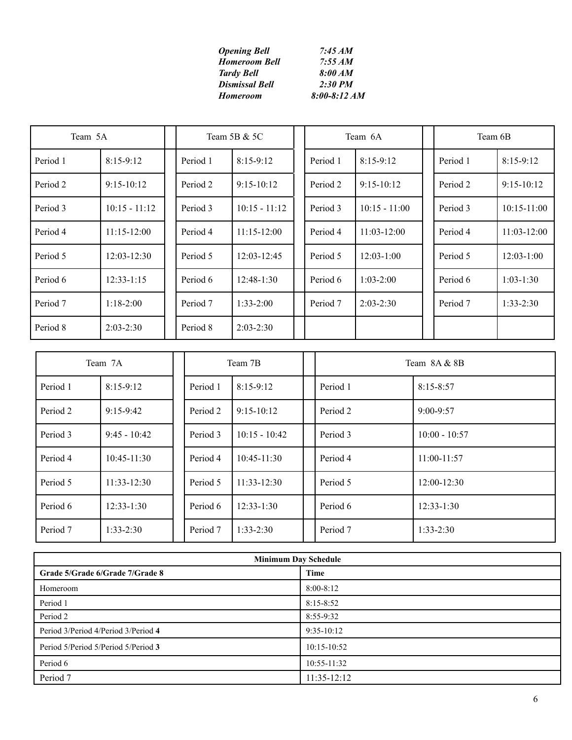| <b>Opening Bell</b>   | 7:45 AM          |
|-----------------------|------------------|
| <b>Homeroom Bell</b>  | 7:55 AM          |
| <b>Tardy Bell</b>     | 8:00 AM          |
| <b>Dismissal Bell</b> | 2:30 PM          |
| Homeroom              | $8:00 - 8:12 AM$ |

| Team 5A  |                 | Team 5B & 5C |                 | Team 6A  |                 | Team 6B  |                 |
|----------|-----------------|--------------|-----------------|----------|-----------------|----------|-----------------|
| Period 1 | $8:15-9:12$     | Period 1     | $8:15-9:12$     | Period 1 | $8:15-9:12$     | Period 1 | $8:15-9:12$     |
| Period 2 | $9:15-10:12$    | Period 2     | $9:15-10:12$    | Period 2 | $9:15-10:12$    | Period 2 | $9:15-10:12$    |
| Period 3 | $10:15 - 11:12$ | Period 3     | $10:15 - 11:12$ | Period 3 | $10:15 - 11:00$ | Period 3 | $10:15 - 11:00$ |
| Period 4 | $11:15-12:00$   | Period 4     | $11:15 - 12:00$ | Period 4 | $11:03-12:00$   | Period 4 | $11:03-12:00$   |
| Period 5 | $12:03 - 12:30$ | Period 5     | $12:03 - 12:45$ | Period 5 | $12:03-1:00$    | Period 5 | $12:03-1:00$    |
| Period 6 | $12:33 - 1:15$  | Period 6     | $12:48-1:30$    | Period 6 | $1:03 - 2:00$   | Period 6 | $1:03-1:30$     |
| Period 7 | $1:18-2:00$     | Period 7     | $1:33-2:00$     | Period 7 | $2:03 - 2:30$   | Period 7 | $1:33-2:30$     |
| Period 8 | $2:03 - 2:30$   | Period 8     | $2:03 - 2:30$   |          |                 |          |                 |

|          | Team 7A         |          | Team 7B         |  | Team 8A & 8B |                 |  |
|----------|-----------------|----------|-----------------|--|--------------|-----------------|--|
| Period 1 | $8:15-9:12$     | Period 1 | $8:15-9:12$     |  | Period 1     | $8:15 - 8:57$   |  |
| Period 2 | $9:15-9:42$     | Period 2 | $9:15-10:12$    |  | Period 2     | $9:00 - 9:57$   |  |
| Period 3 | $9:45 - 10:42$  | Period 3 | $10:15 - 10:42$ |  | Period 3     | $10:00 - 10:57$ |  |
| Period 4 | $10:45-11:30$   | Period 4 | $10:45-11:30$   |  | Period 4     | $11:00-11:57$   |  |
| Period 5 | $11:33 - 12:30$ | Period 5 | $11:33-12:30$   |  | Period 5     | $12:00 - 12:30$ |  |
| Period 6 | $12:33-1:30$    | Period 6 | $12:33-1:30$    |  | Period 6     | $12:33-1:30$    |  |
| Period 7 | $1:33 - 2:30$   | Period 7 | $1:33-2:30$     |  | Period 7     | $1:33-2:30$     |  |

| <b>Minimum Day Schedule</b>         |               |  |  |  |
|-------------------------------------|---------------|--|--|--|
| Grade 5/Grade 6/Grade 7/Grade 8     | Time          |  |  |  |
| Homeroom                            | $8:00 - 8:12$ |  |  |  |
| Period 1                            | $8:15 - 8:52$ |  |  |  |
| Period 2                            | 8:55-9:32     |  |  |  |
| Period 3/Period 4/Period 3/Period 4 | $9:35-10:12$  |  |  |  |
| Period 5/Period 5/Period 5/Period 3 | $10:15-10:52$ |  |  |  |
| Period 6                            | $10:55-11:32$ |  |  |  |
| Period 7                            | $11:35-12:12$ |  |  |  |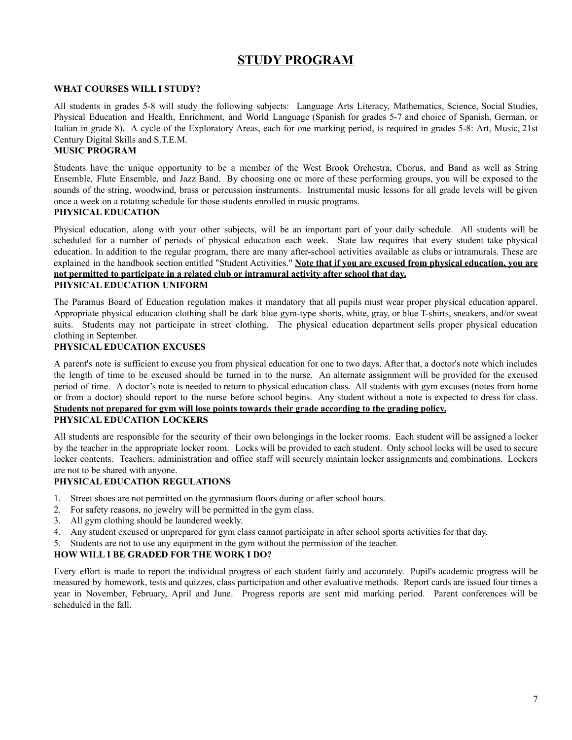# **STUDY PROGRAM**

#### **WHAT COURSES WILL I STUDY?**

All students in grades 5-8 will study the following subjects: Language Arts Literacy, Mathematics, Science, Social Studies, Physical Education and Health, Enrichment, and World Language (Spanish for grades 5-7 and choice of Spanish, German, or Italian in grade 8). A cycle of the Exploratory Areas, each for one marking period, is required in grades 5-8: Art, Music, 21st Century Digital Skills and S.T.E.M.

#### **MUSIC PROGRAM**

Students have the unique opportunity to be a member of the West Brook Orchestra, Chorus, and Band as well as String Ensemble, Flute Ensemble, and Jazz Band. By choosing one or more of these performing groups, you will be exposed to the sounds of the string, woodwind, brass or percussion instruments. Instrumental music lessons for all grade levels will be given once a week on a rotating schedule for those students enrolled in music programs.

#### **PHYSICAL EDUCATION**

Physical education, along with your other subjects, will be an important part of your daily schedule. All students will be scheduled for a number of periods of physical education each week. State law requires that every student take physical education. In addition to the regular program, there are many after-school activities available as clubs or intramurals. These are explained in the handbook section entitled "Student Activities." **Note that if you are excused from physical education, you are not permitted to participate in a related club or intramural activity after school that day.**

#### **PHYSICAL EDUCATION UNIFORM**

The Paramus Board of Education regulation makes it mandatory that all pupils must wear proper physical education apparel. Appropriate physical education clothing shall be dark blue gym-type shorts, white, gray, or blue T-shirts, sneakers, and/or sweat suits. Students may not participate in street clothing. The physical education department sells proper physical education clothing in September.

#### **PHYSICAL EDUCATION EXCUSES**

A parent's note is sufficient to excuse you from physical education for one to two days. After that, a doctor's note which includes the length of time to be excused should be turned in to the nurse. An alternate assignment will be provided for the excused period of time. A doctor's note is needed to return to physical education class. All students with gym excuses (notes from home or from a doctor) should report to the nurse before school begins. Any student without a note is expected to dress for class. **Students not prepared for gym will lose points towards their grade according to the grading policy. PHYSICAL EDUCATION LOCKERS**

All students are responsible for the security of their own belongings in the locker rooms. Each student will be assigned a locker by the teacher in the appropriate locker room. Locks will be provided to each student. Only school locks will be used to secure locker contents. Teachers, administration and office staff will securely maintain locker assignments and combinations. Lockers are not to be shared with anyone.

#### **PHYSICAL EDUCATION REGULATIONS**

- 1. Street shoes are not permitted on the gymnasium floors during or after school hours.
- 2. For safety reasons, no jewelry will be permitted in the gym class.
- 3. All gym clothing should be laundered weekly.
- 4. Any student excused or unprepared for gym class cannot participate in after school sports activities for that day.
- 5. Students are not to use any equipment in the gym without the permission of the teacher.

#### **HOW WILL I BE GRADED FOR THE WORK I DO?**

Every effort is made to report the individual progress of each student fairly and accurately. Pupil's academic progress will be measured by homework, tests and quizzes, class participation and other evaluative methods. Report cards are issued four times a year in November, February, April and June. Progress reports are sent mid marking period. Parent conferences will be scheduled in the fall.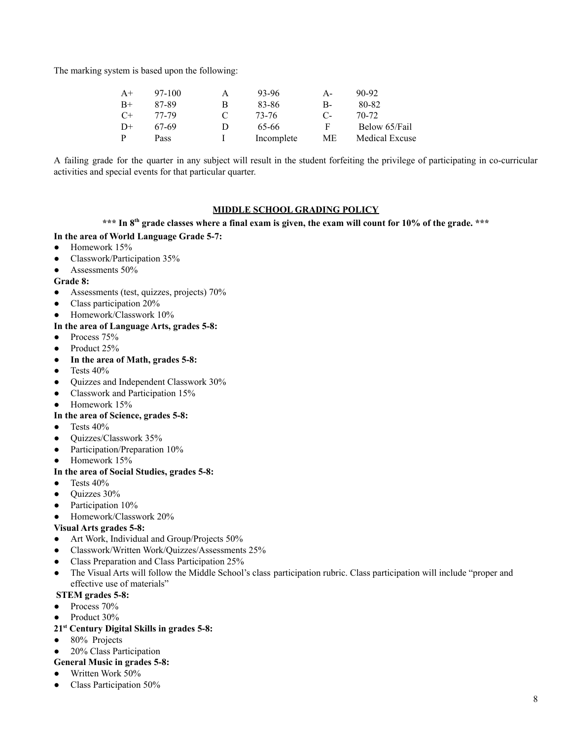The marking system is based upon the following:

| $A+$ | 97-100 | А | 93-96      | А- | 90-92                 |
|------|--------|---|------------|----|-----------------------|
| $B+$ | 87-89  | В | 83-86      | В- | 80-82                 |
| $C+$ | 77-79  |   | 73-76      | С- | 70-72                 |
| $D+$ | 67-69  | D | 65-66      | F  | Below 65/Fail         |
| P    | Pass   |   | Incomplete | МE | <b>Medical Excuse</b> |

A failing grade for the quarter in any subject will result in the student forfeiting the privilege of participating in co-curricular activities and special events for that particular quarter.

#### **MIDDLE SCHOOL GRADING POLICY**

#### \*\*\* In 8th grade classes where a final exam is given, the exam will count for 10% of the grade. \*\*\*

#### **In the area of World Language Grade 5-7:**

- **●** Homework 15%
- Classwork/Participation 35%
- Assessments 50%

#### **Grade 8:**

- Assessments (test, quizzes, projects) 70%
- Class participation 20%
- Homework/Classwork 10%

#### **In the area of Language Arts, grades 5-8:**

- Process 75%
- Product 25%
- **In the area of Math, grades 5-8:**
- $\bullet$  Tests 40%
- Quizzes and Independent Classwork 30%
- Classwork and Participation 15%
- Homework 15%

#### **In the area of Science, grades 5-8:**

- $\bullet$  Tests 40%
- Quizzes/Classwork 35%
- Participation/Preparation 10%
- Homework 15%

#### **In the area of Social Studies, grades 5-8:**

- $\bullet$  Tests 40%
- Quizzes 30%
- Participation 10%
- Homework/Classwork 20%

#### **Visual Arts grades 5-8:**

- Art Work, Individual and Group/Projects 50%
- Classwork/Written Work/Quizzes/Assessments 25%
- Class Preparation and Class Participation 25%
- The Visual Arts will follow the Middle School's class participation rubric. Class participation will include "proper and effective use of materials"

#### **STEM grades 5-8:**

- Process 70%
- Product 30%
- **21 st Century Digital Skills in grades 5-8:**
- 80% Projects
- 20% Class Participation
- **General Music in grades 5-8:**
- Written Work 50%
- Class Participation 50%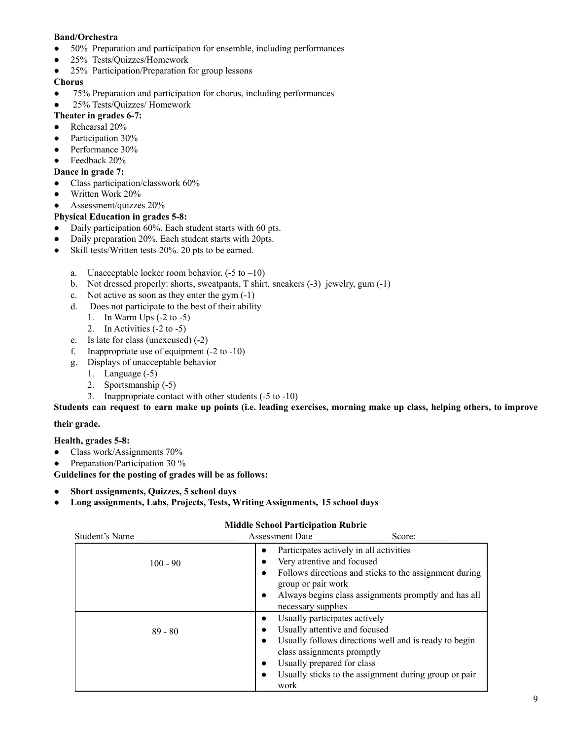#### **Band/Orchestra**

- 50% Preparation and participation for ensemble, including performances
- 25% Tests/Quizzes/Homework
- 25% Participation/Preparation for group lessons

#### **Chorus**

- 75% Preparation and participation for chorus, including performances
- 25% Tests/Quizzes/ Homework

#### **Theater in grades 6-7:**

- Rehearsal 20%
- Participation 30%
- Performance 30%
- $\bullet$  Feedback 20%

#### **Dance in grade 7:**

- Class participation/classwork 60%
- Written Work 20%
- Assessment/quizzes 20%

### **Physical Education in grades 5-8:**

- Daily participation 60%. Each student starts with 60 pts.
- Daily preparation 20%. Each student starts with 20pts.
- Skill tests/Written tests 20%. 20 pts to be earned.
	- a. Unacceptable locker room behavior.  $(-5 \text{ to } -10)$
	- b. Not dressed properly: shorts, sweatpants, T shirt, sneakers (-3) jewelry, gum (-1)
	- c. Not active as soon as they enter the gym (-1)
	- d. Does not participate to the best of their ability
		- 1. In Warm Ups (-2 to -5)
		- 2. In Activities (-2 to -5)
	- e. Is late for class (unexcused) (-2)
	- f. Inappropriate use of equipment (-2 to -10)
	- g. Displays of unacceptable behavior
		- 1. Language (-5)
		- 2. Sportsmanship (-5)
		- 3. Inappropriate contact with other students (-5 to -10)

Students can request to earn make up points (i.e. leading exercises, morning make up class, helping others, to improve

#### **their grade.**

#### **Health, grades 5-8:**

- Class work/Assignments 70%
- Preparation/Participation 30 %

**Guidelines for the posting of grades will be as follows:**

- **● Short assignments, Quizzes, 5 school days**
- **● Long assignments, Labs, Projects, Tests, Writing Assignments, 15 school days**

### **Middle School Participation Rubric**

| Student's Name | <b>Assessment Date</b><br>Score:                                                                                                                                                                                                                                                                         |
|----------------|----------------------------------------------------------------------------------------------------------------------------------------------------------------------------------------------------------------------------------------------------------------------------------------------------------|
| $100 - 90$     | Participates actively in all activities<br>$\bullet$<br>Very attentive and focused<br>$\bullet$<br>Follows directions and sticks to the assignment during<br>$\bullet$<br>group or pair work<br>Always begins class assignments promptly and has all<br>$\bullet$<br>necessary supplies                  |
| $89 - 80$      | Usually participates actively<br>Usually attentive and focused<br>$\bullet$<br>Usually follows directions well and is ready to begin<br>$\bullet$<br>class assignments promptly<br>Usually prepared for class<br>$\bullet$<br>Usually sticks to the assignment during group or pair<br>$\bullet$<br>work |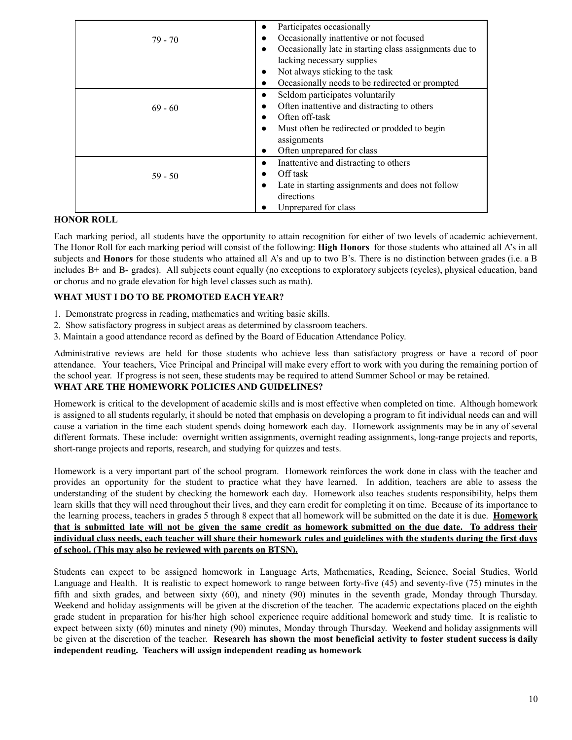|           | Participates occasionally<br>٠                                      |
|-----------|---------------------------------------------------------------------|
| $79 - 70$ | Occasionally inattentive or not focused<br>$\bullet$                |
|           | Occasionally late in starting class assignments due to<br>$\bullet$ |
|           | lacking necessary supplies                                          |
|           | Not always sticking to the task<br>٠                                |
|           | Occasionally needs to be redirected or prompted<br>$\bullet$        |
|           | Seldom participates voluntarily<br>$\bullet$                        |
| $69 - 60$ | Often inattentive and distracting to others<br>$\bullet$            |
|           | Often off-task<br>$\bullet$                                         |
|           | Must often be redirected or prodded to begin<br>$\bullet$           |
|           | assignments                                                         |
|           | Often unprepared for class<br>٠                                     |
|           | Inattentive and distracting to others<br>$\bullet$                  |
| $59 - 50$ | Off task<br>$\bullet$                                               |
|           | Late in starting assignments and does not follow<br>$\bullet$       |
|           | directions                                                          |
|           | Unprepared for class                                                |

#### **HONOR ROLL**

Each marking period, all students have the opportunity to attain recognition for either of two levels of academic achievement. The Honor Roll for each marking period will consist of the following: **High Honors** for those students who attained all A's in all subjects and **Honors** for those students who attained all A's and up to two B's. There is no distinction between grades (i.e. a B includes B+ and B- grades). All subjects count equally (no exceptions to exploratory subjects (cycles), physical education, band or chorus and no grade elevation for high level classes such as math).

#### **WHAT MUST I DO TO BE PROMOTED EACH YEAR?**

- 1. Demonstrate progress in reading, mathematics and writing basic skills.
- 2. Show satisfactory progress in subject areas as determined by classroom teachers.
- 3. Maintain a good attendance record as defined by the Board of Education Attendance Policy.

Administrative reviews are held for those students who achieve less than satisfactory progress or have a record of poor attendance. Your teachers, Vice Principal and Principal will make every effort to work with you during the remaining portion of the school year. If progress is not seen, these students may be required to attend Summer School or may be retained. **WHAT ARE THE HOMEWORK POLICIES AND GUIDELINES?**

Homework is critical to the development of academic skills and is most effective when completed on time. Although homework is assigned to all students regularly, it should be noted that emphasis on developing a program to fit individual needs can and will cause a variation in the time each student spends doing homework each day. Homework assignments may be in any of several different formats. These include: overnight written assignments, overnight reading assignments, long-range projects and reports, short-range projects and reports, research, and studying for quizzes and tests.

Homework is a very important part of the school program. Homework reinforces the work done in class with the teacher and provides an opportunity for the student to practice what they have learned. In addition, teachers are able to assess the understanding of the student by checking the homework each day. Homework also teaches students responsibility, helps them learn skills that they will need throughout their lives, and they earn credit for completing it on time. Because of its importance to the learning process, teachers in grades 5 through 8 expect that all homework will be submitted on the date it is due. **Homework** that is submitted late will not be given the same credit as homework submitted on the due date. To address their individual class needs, each teacher will share their homework rules and guidelines with the students during the first days **of school. (This may also be reviewed with parents on BTSN).**

Students can expect to be assigned homework in Language Arts, Mathematics, Reading, Science, Social Studies, World Language and Health. It is realistic to expect homework to range between forty-five (45) and seventy-five (75) minutes in the fifth and sixth grades, and between sixty (60), and ninety (90) minutes in the seventh grade, Monday through Thursday. Weekend and holiday assignments will be given at the discretion of the teacher. The academic expectations placed on the eighth grade student in preparation for his/her high school experience require additional homework and study time. It is realistic to expect between sixty (60) minutes and ninety (90) minutes, Monday through Thursday. Weekend and holiday assignments will be given at the discretion of the teacher. **Research has shown the most beneficial activity to foster student success is daily independent reading. Teachers will assign independent reading as homework**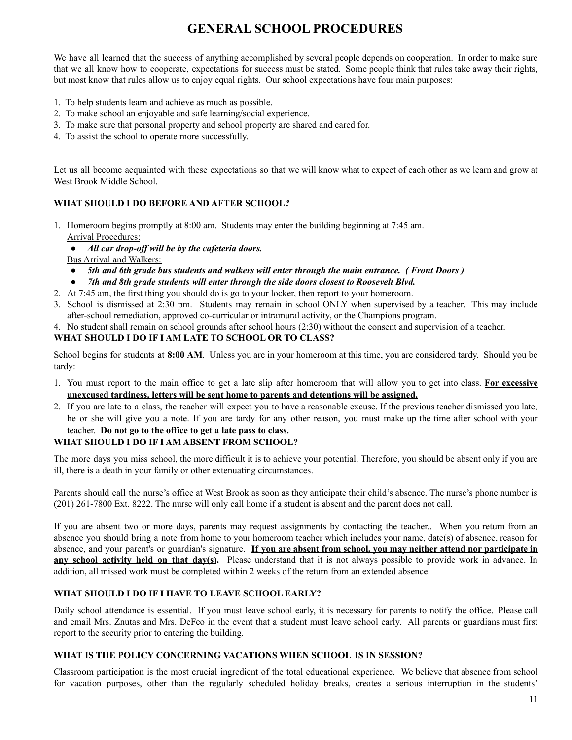# **GENERAL SCHOOL PROCEDURES**

We have all learned that the success of anything accomplished by several people depends on cooperation. In order to make sure that we all know how to cooperate, expectations for success must be stated. Some people think that rules take away their rights, but most know that rules allow us to enjoy equal rights. Our school expectations have four main purposes:

- 1. To help students learn and achieve as much as possible.
- 2. To make school an enjoyable and safe learning/social experience.
- 3. To make sure that personal property and school property are shared and cared for.
- 4. To assist the school to operate more successfully.

Let us all become acquainted with these expectations so that we will know what to expect of each other as we learn and grow at West Brook Middle School.

#### **WHAT SHOULD I DO BEFORE AND AFTER SCHOOL?**

- 1. Homeroom begins promptly at 8:00 am. Students may enter the building beginning at 7:45 am. Arrival Procedures:
	- *● All car drop-of will be by the cafeteria doors.*

Bus Arrival and Walkers:

- 5th and 6th grade bus students and walkers will enter through the main entrance. (Front Doors)
- *● 7th and 8th grade students will enter through the side doors closest to Roosevelt Blvd.*
- 2. At 7:45 am, the first thing you should do is go to your locker, then report to your homeroom.
- 3. School is dismissed at 2:30 pm. Students may remain in school ONLY when supervised by a teacher. This may include after-school remediation, approved co-curricular or intramural activity, or the Champions program.
- 4. No student shall remain on school grounds after school hours (2:30) without the consent and supervision of a teacher.

#### **WHAT SHOULD I DO IF I AM LATE TO SCHOOL OR TO CLASS?**

School begins for students at **8:00 AM**. Unless you are in your homeroom at this time, you are considered tardy. Should you be tardy:

- 1. You must report to the main office to get a late slip after homeroom that will allow you to get into class. **For excessive unexcused tardiness, letters will be sent home to parents and detentions will be assigned.**
- 2. If you are late to a class, the teacher will expect you to have a reasonable excuse. If the previous teacher dismissed you late, he or she will give you a note. If you are tardy for any other reason, you must make up the time after school with your teacher. **Do not go to the office to get a late pass to class.**

#### **WHAT SHOULD I DO IF I AM ABSENT FROM SCHOOL?**

The more days you miss school, the more difficult it is to achieve your potential. Therefore, you should be absent only if you are ill, there is a death in your family or other extenuating circumstances.

Parents should call the nurse's office at West Brook as soon as they anticipate their child's absence. The nurse's phone number is (201) 261-7800 Ext. 8222. The nurse will only call home if a student is absent and the parent does not call.

If you are absent two or more days, parents may request assignments by contacting the teacher.. When you return from an absence you should bring a note from home to your homeroom teacher which includes your name, date(s) of absence, reason for absence, and your parent's or guardian's signature. **If you are absent from school, you may neither attend nor participate in any school activity held on that day(s).** Please understand that it is not always possible to provide work in advance. In addition, all missed work must be completed within 2 weeks of the return from an extended absence.

#### **WHAT SHOULD I DO IF I HAVE TO LEAVE SCHOOL EARLY?**

Daily school attendance is essential. If you must leave school early, it is necessary for parents to notify the office. Please call and email Mrs. Znutas and Mrs. DeFeo in the event that a student must leave school early. All parents or guardians must first report to the security prior to entering the building.

#### **WHAT IS THE POLICY CONCERNING VACATIONS WHEN SCHOOL IS IN SESSION?**

Classroom participation is the most crucial ingredient of the total educational experience. We believe that absence from school for vacation purposes, other than the regularly scheduled holiday breaks, creates a serious interruption in the students'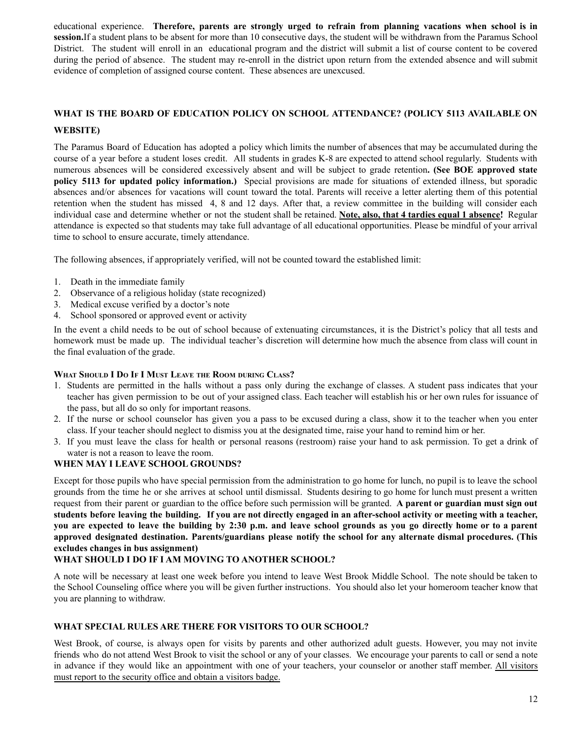educational experience. **Therefore, parents are strongly urged to refrain from planning vacations when school is in session.**If a student plans to be absent for more than 10 consecutive days, the student will be withdrawn from the Paramus School District. The student will enroll in an educational program and the district will submit a list of course content to be covered during the period of absence. The student may re-enroll in the district upon return from the extended absence and will submit evidence of completion of assigned course content. These absences are unexcused.

# **WHAT IS THE BOARD OF EDUCATION POLICY ON SCHOOL ATTENDANCE? (POLICY 5113 AVAILABLE ON**

#### **WEBSITE)**

The Paramus Board of Education has adopted a policy which limits the number of absences that may be accumulated during the course of a year before a student loses credit. All students in grades K-8 are expected to attend school regularly. Students with numerous absences will be considered excessively absent and will be subject to grade retention**. (See BOE approved state policy 5113 for updated policy information.)** Special provisions are made for situations of extended illness, but sporadic absences and/or absences for vacations will count toward the total. Parents will receive a letter alerting them of this potential retention when the student has missed 4, 8 and 12 days. After that, a review committee in the building will consider each individual case and determine whether or not the student shall be retained. **Note, also, that 4 tardies equal 1 absence!** Regular attendance is expected so that students may take full advantage of all educational opportunities. Please be mindful of your arrival time to school to ensure accurate, timely attendance.

The following absences, if appropriately verified, will not be counted toward the established limit:

- 1. Death in the immediate family
- 2. Observance of a religious holiday (state recognized)
- 3. Medical excuse verified by a doctor's note
- 4. School sponsored or approved event or activity

In the event a child needs to be out of school because of extenuating circumstances, it is the District's policy that all tests and homework must be made up. The individual teacher's discretion will determine how much the absence from class will count in the final evaluation of the grade.

#### **WHAT SHOULD I D<sup>O</sup> I<sup>F</sup> I MUST LEAVE THE ROOM DURING CLASS?**

- 1. Students are permitted in the halls without a pass only during the exchange of classes. A student pass indicates that your teacher has given permission to be out of your assigned class. Each teacher will establish his or her own rules for issuance of the pass, but all do so only for important reasons.
- 2. If the nurse or school counselor has given you a pass to be excused during a class, show it to the teacher when you enter class. If your teacher should neglect to dismiss you at the designated time, raise your hand to remind him or her.
- 3. If you must leave the class for health or personal reasons (restroom) raise your hand to ask permission. To get a drink of water is not a reason to leave the room.

#### **WHEN MAY I LEAVE SCHOOL GROUNDS?**

Except for those pupils who have special permission from the administration to go home for lunch, no pupil is to leave the school grounds from the time he or she arrives at school until dismissal. Students desiring to go home for lunch must present a written request from their parent or guardian to the office before such permission will be granted. **A parent or guardian must sign out** students before leaving the building. If you are not directly engaged in an after-school activity or meeting with a teacher, you are expected to leave the building by 2:30 p.m. and leave school grounds as you go directly home or to a parent **approved designated destination. Parents/guardians please notify the school for any alternate dismal procedures. (This excludes changes in bus assignment)**

#### **WHAT SHOULD I DO IF I AM MOVING TO ANOTHER SCHOOL?**

A note will be necessary at least one week before you intend to leave West Brook Middle School. The note should be taken to the School Counseling office where you will be given further instructions. You should also let your homeroom teacher know that you are planning to withdraw.

#### **WHAT SPECIAL RULES ARE THERE FOR VISITORS TO OUR SCHOOL?**

West Brook, of course, is always open for visits by parents and other authorized adult guests. However, you may not invite friends who do not attend West Brook to visit the school or any of your classes. We encourage your parents to call or send a note in advance if they would like an appointment with one of your teachers, your counselor or another staff member. All visitors must report to the security office and obtain a visitors badge.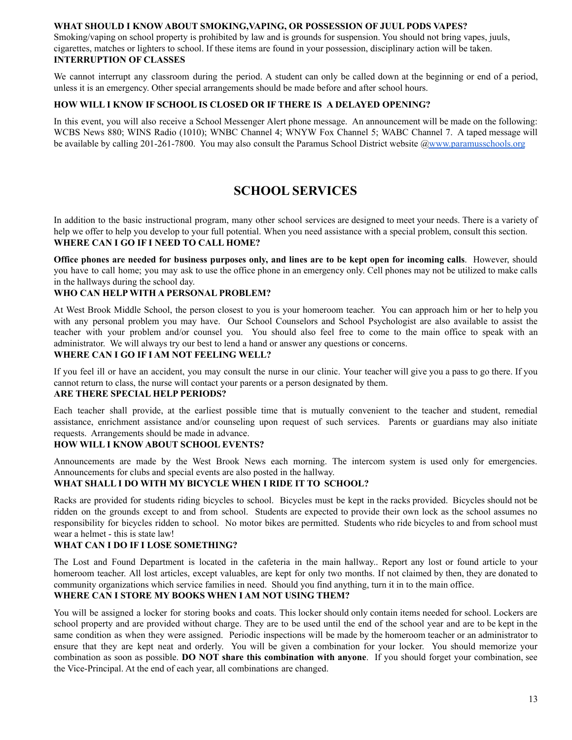#### **WHAT SHOULD I KNOW ABOUT SMOKING,VAPING, OR POSSESSION OF JUUL PODS VAPES?**

Smoking/vaping on school property is prohibited by law and is grounds for suspension. You should not bring vapes, juuls, cigarettes, matches or lighters to school. If these items are found in your possession, disciplinary action will be taken. **INTERRUPTION OF CLASSES**

We cannot interrupt any classroom during the period. A student can only be called down at the beginning or end of a period, unless it is an emergency. Other special arrangements should be made before and after school hours.

#### **HOW WILL I KNOW IF SCHOOL IS CLOSED OR IF THERE IS A DELAYED OPENING?**

In this event, you will also receive a School Messenger Alert phone message. An announcement will be made on the following: WCBS News 880; WINS Radio (1010); WNBC Channel 4; WNYW Fox Channel 5; WABC Channel 7. A taped message will be available by calling 201-261-7800. You may also consult the Paramus School District website [@www.paramusschools.org](http://www.paramusschools.org)

# **SCHOOL SERVICES**

In addition to the basic instructional program, many other school services are designed to meet your needs. There is a variety of help we offer to help you develop to your full potential. When you need assistance with a special problem, consult this section. **WHERE CAN I GO IF I NEED TO CALL HOME?**

Office phones are needed for business purposes only, and lines are to be kept open for incoming calls. However, should you have to call home; you may ask to use the office phone in an emergency only. Cell phones may not be utilized to make calls in the hallways during the school day.

#### **WHO CAN HELP WITH A PERSONAL PROBLEM?**

At West Brook Middle School, the person closest to you is your homeroom teacher. You can approach him or her to help you with any personal problem you may have. Our School Counselors and School Psychologist are also available to assist the teacher with your problem and/or counsel you. You should also feel free to come to the main office to speak with an administrator. We will always try our best to lend a hand or answer any questions or concerns.

#### **WHERE CAN I GO IF I AM NOT FEELING WELL?**

If you feel ill or have an accident, you may consult the nurse in our clinic. Your teacher will give you a pass to go there. If you cannot return to class, the nurse will contact your parents or a person designated by them.

#### **ARE THERE SPECIAL HELP PERIODS?**

Each teacher shall provide, at the earliest possible time that is mutually convenient to the teacher and student, remedial assistance, enrichment assistance and/or counseling upon request of such services. Parents or guardians may also initiate requests. Arrangements should be made in advance.

#### **HOW WILL I KNOW ABOUT SCHOOL EVENTS?**

Announcements are made by the West Brook News each morning. The intercom system is used only for emergencies. Announcements for clubs and special events are also posted in the hallway.

#### **WHAT SHALL I DO WITH MY BICYCLE WHEN I RIDE IT TO SCHOOL?**

Racks are provided for students riding bicycles to school. Bicycles must be kept in the racks provided. Bicycles should not be ridden on the grounds except to and from school. Students are expected to provide their own lock as the school assumes no responsibility for bicycles ridden to school. No motor bikes are permitted. Students who ride bicycles to and from school must wear a helmet - this is state law!

#### **WHAT CAN I DO IF I LOSE SOMETHING?**

The Lost and Found Department is located in the cafeteria in the main hallway.. Report any lost or found article to your homeroom teacher. All lost articles, except valuables, are kept for only two months. If not claimed by then, they are donated to community organizations which service families in need. Should you find anything, turn it in to the main office.

#### **WHERE CAN I STORE MY BOOKS WHEN I AM NOT USING THEM?**

You will be assigned a locker for storing books and coats. This locker should only contain items needed for school. Lockers are school property and are provided without charge. They are to be used until the end of the school year and are to be kept in the same condition as when they were assigned. Periodic inspections will be made by the homeroom teacher or an administrator to ensure that they are kept neat and orderly. You will be given a combination for your locker. You should memorize your combination as soon as possible. **DO NOT share this combination with anyone**. If you should forget your combination, see the Vice-Principal. At the end of each year, all combinations are changed.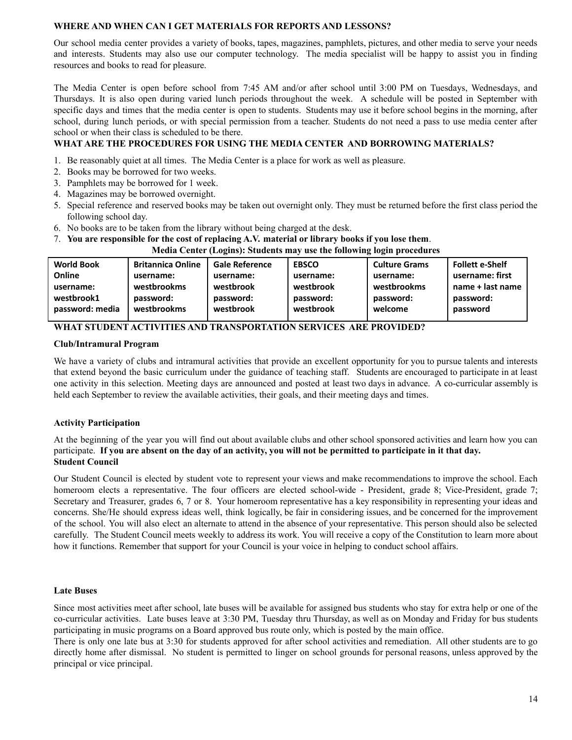#### **WHERE AND WHEN CAN I GET MATERIALS FOR REPORTS AND LESSONS?**

Our school media center provides a variety of books, tapes, magazines, pamphlets, pictures, and other media to serve your needs and interests. Students may also use our computer technology. The media specialist will be happy to assist you in finding resources and books to read for pleasure.

The Media Center is open before school from 7:45 AM and/or after school until 3:00 PM on Tuesdays, Wednesdays, and Thursdays. It is also open during varied lunch periods throughout the week. A schedule will be posted in September with specific days and times that the media center is open to students. Students may use it before school begins in the morning, after school, during lunch periods, or with special permission from a teacher. Students do not need a pass to use media center after school or when their class is scheduled to be there.

#### **WHAT ARE THE PROCEDURES FOR USING THE MEDIA CENTER AND BORROWING MATERIALS?**

- 1. Be reasonably quiet at all times. The Media Center is a place for work as well as pleasure.
- 2. Books may be borrowed for two weeks.
- 3. Pamphlets may be borrowed for 1 week.
- 4. Magazines may be borrowed overnight.
- 5. Special reference and reserved books may be taken out overnight only. They must be returned before the first class period the following school day.
- 6. No books are to be taken from the library without being charged at the desk.
- 7. **You are responsible for the cost of replacing A.V. material or library books if you lose them**.

**Media Center (Logins): Students may use the following login procedures**

| username: first  |
|------------------|
| name + last name |
| password:        |
|                  |
| password         |

#### **WHAT STUDENT ACTIVITIES AND TRANSPORTATION SERVICES ARE PROVIDED?**

#### **Club/Intramural Program**

We have a variety of clubs and intramural activities that provide an excellent opportunity for you to pursue talents and interests that extend beyond the basic curriculum under the guidance of teaching staff. Students are encouraged to participate in at least one activity in this selection. Meeting days are announced and posted at least two days in advance. A co-curricular assembly is held each September to review the available activities, their goals, and their meeting days and times.

#### **Activity Participation**

At the beginning of the year you will find out about available clubs and other school sponsored activities and learn how you can participate. If you are absent on the day of an activity, you will not be permitted to participate in it that day. **Student Council**

Our Student Council is elected by student vote to represent your views and make recommendations to improve the school. Each homeroom elects a representative. The four officers are elected school-wide - President, grade 8; Vice-President, grade 7; Secretary and Treasurer, grades 6, 7 or 8. Your homeroom representative has a key responsibility in representing your ideas and concerns. She/He should express ideas well, think logically, be fair in considering issues, and be concerned for the improvement of the school. You will also elect an alternate to attend in the absence of your representative. This person should also be selected carefully. The Student Council meets weekly to address its work. You will receive a copy of the Constitution to learn more about how it functions. Remember that support for your Council is your voice in helping to conduct school affairs.

#### **Late Buses**

Since most activities meet after school, late buses will be available for assigned bus students who stay for extra help or one of the co-curricular activities. Late buses leave at 3:30 PM, Tuesday thru Thursday, as well as on Monday and Friday for bus students participating in music programs on a Board approved bus route only, which is posted by the main office.

There is only one late bus at 3:30 for students approved for after school activities and remediation. All other students are to go directly home after dismissal. No student is permitted to linger on school grounds for personal reasons, unless approved by the principal or vice principal.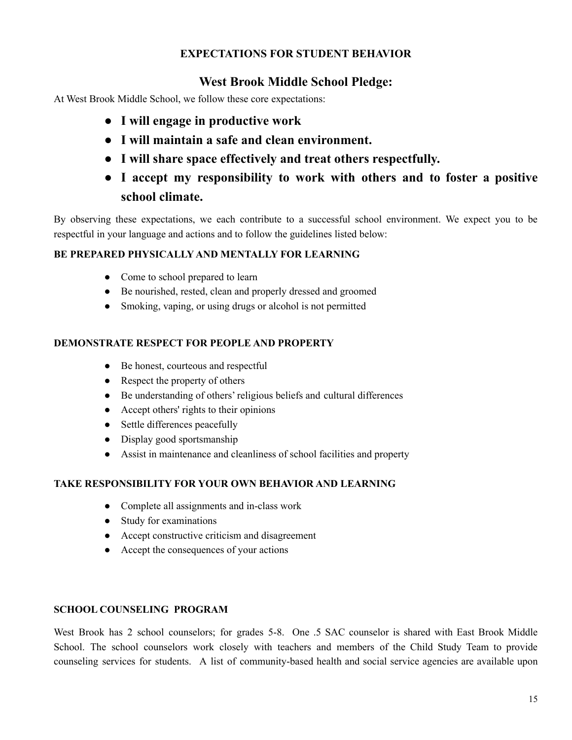# **EXPECTATIONS FOR STUDENT BEHAVIOR**

# **West Brook Middle School Pledge:**

At West Brook Middle School, we follow these core expectations:

- **● I will engage in productive work**
- **● I will maintain a safe and clean environment.**
- **● I will share space effectively and treat others respectfully.**
- **● I accept my responsibility to work with others and to foster a positive school climate.**

By observing these expectations, we each contribute to a successful school environment. We expect you to be respectful in your language and actions and to follow the guidelines listed below:

### **BE PREPARED PHYSICALLY AND MENTALLY FOR LEARNING**

- Come to school prepared to learn
- Be nourished, rested, clean and properly dressed and groomed
- Smoking, vaping, or using drugs or alcohol is not permitted

### **DEMONSTRATE RESPECT FOR PEOPLE AND PROPERTY**

- Be honest, courteous and respectful
- Respect the property of others
- Be understanding of others' religious beliefs and cultural differences
- Accept others' rights to their opinions
- Settle differences peacefully
- Display good sportsmanship
- Assist in maintenance and cleanliness of school facilities and property

### **TAKE RESPONSIBILITY FOR YOUR OWN BEHAVIOR AND LEARNING**

- Complete all assignments and in-class work
- Study for examinations
- Accept constructive criticism and disagreement
- Accept the consequences of your actions

### **SCHOOL COUNSELING PROGRAM**

West Brook has 2 school counselors; for grades 5-8. One .5 SAC counselor is shared with East Brook Middle School. The school counselors work closely with teachers and members of the Child Study Team to provide counseling services for students. A list of community-based health and social service agencies are available upon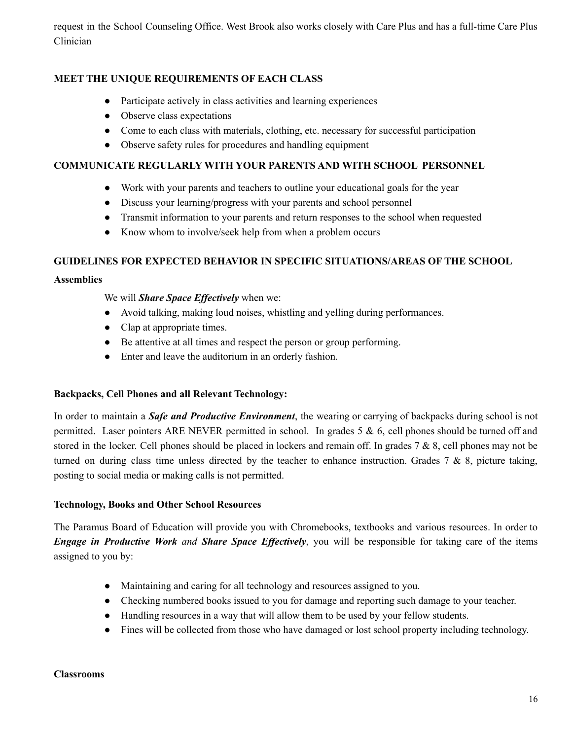request in the School Counseling Office. West Brook also works closely with Care Plus and has a full-time Care Plus Clinician

### **MEET THE UNIQUE REQUIREMENTS OF EACH CLASS**

- Participate actively in class activities and learning experiences
- Observe class expectations
- Come to each class with materials, clothing, etc. necessary for successful participation
- Observe safety rules for procedures and handling equipment

#### **COMMUNICATE REGULARLY WITH YOUR PARENTS AND WITH SCHOOL PERSONNEL**

- Work with your parents and teachers to outline your educational goals for the year
- Discuss your learning/progress with your parents and school personnel
- Transmit information to your parents and return responses to the school when requested
- Know whom to involve/seek help from when a problem occurs

### **GUIDELINES FOR EXPECTED BEHAVIOR IN SPECIFIC SITUATIONS/AREAS OF THE SCHOOL**

#### **Assemblies**

We will *Share Space Effectively* when we:

- Avoid talking, making loud noises, whistling and yelling during performances.
- Clap at appropriate times.
- Be attentive at all times and respect the person or group performing.
- Enter and leave the auditorium in an orderly fashion.

#### **Backpacks, Cell Phones and all Relevant Technology:**

In order to maintain a *Safe and Productive Environment*, the wearing or carrying of backpacks during school is not permitted. Laser pointers ARE NEVER permitted in school. In grades 5 & 6, cell phones should be turned off and stored in the locker. Cell phones should be placed in lockers and remain off. In grades 7 & 8, cell phones may not be turned on during class time unless directed by the teacher to enhance instruction. Grades  $7 \& 8$ , picture taking, posting to social media or making calls is not permitted.

#### **Technology, Books and Other School Resources**

The Paramus Board of Education will provide you with Chromebooks, textbooks and various resources. In order to *Engage in Productive Work and Share Space Ef ectively*, you will be responsible for taking care of the items assigned to you by:

- Maintaining and caring for all technology and resources assigned to you.
- Checking numbered books issued to you for damage and reporting such damage to your teacher.
- Handling resources in a way that will allow them to be used by your fellow students.
- Fines will be collected from those who have damaged or lost school property including technology.

#### **Classrooms**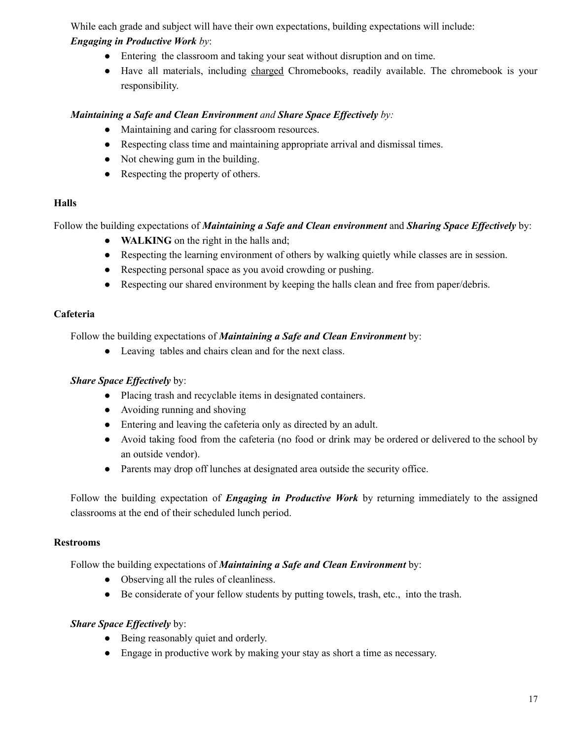While each grade and subject will have their own expectations, building expectations will include:

# *Engaging in Productive Work by*:

- Entering the classroom and taking your seat without disruption and on time.
- Have all materials, including charged Chromebooks, readily available. The chromebook is your responsibility.

### *Maintaining a Safe and Clean Environment and Share Space Ef ectively by:*

- Maintaining and caring for classroom resources.
- Respecting class time and maintaining appropriate arrival and dismissal times.
- Not chewing gum in the building.
- Respecting the property of others.

# **Halls**

Follow the building expectations of *Maintaining a Safe and Clean environment* and *Sharing Space Effectively* by:

- **WALKING** on the right in the halls and;
- Respecting the learning environment of others by walking quietly while classes are in session.
- Respecting personal space as you avoid crowding or pushing.
- Respecting our shared environment by keeping the halls clean and free from paper/debris.

# **Cafeteria**

Follow the building expectations of *Maintaining a Safe and Clean Environment* by:

● Leaving tables and chairs clean and for the next class.

# *<i>Share Space Effectively* by:

- Placing trash and recyclable items in designated containers.
- Avoiding running and shoving
- Entering and leaving the cafeteria only as directed by an adult.
- Avoid taking food from the cafeteria (no food or drink may be ordered or delivered to the school by an outside vendor).
- Parents may drop off lunches at designated area outside the security office.

Follow the building expectation of *Engaging in Productive Work* by returning immediately to the assigned classrooms at the end of their scheduled lunch period.

### **Restrooms**

Follow the building expectations of *Maintaining a Safe and Clean Environment* by:

- Observing all the rules of cleanliness.
- Be considerate of your fellow students by putting towels, trash, etc., into the trash.

### *<i>Share Space Effectively* by:

- Being reasonably quiet and orderly.
- Engage in productive work by making your stay as short a time as necessary.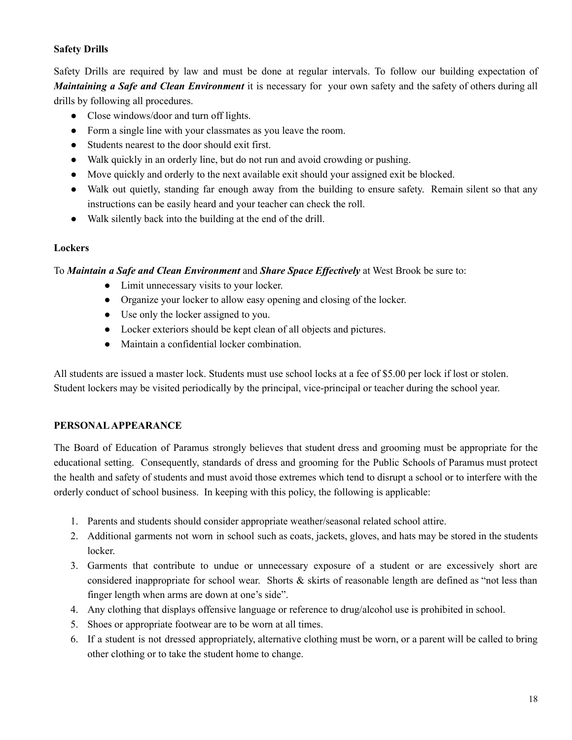### **Safety Drills**

Safety Drills are required by law and must be done at regular intervals. To follow our building expectation of *Maintaining a Safe and Clean Environment* it is necessary for your own safety and the safety of others during all drills by following all procedures.

- Close windows/door and turn off lights.
- Form a single line with your classmates as you leave the room.
- Students nearest to the door should exit first.
- Walk quickly in an orderly line, but do not run and avoid crowding or pushing.
- Move quickly and orderly to the next available exit should your assigned exit be blocked.
- Walk out quietly, standing far enough away from the building to ensure safety. Remain silent so that any instructions can be easily heard and your teacher can check the roll.
- Walk silently back into the building at the end of the drill.

### **Lockers**

### To *Maintain a Safe and Clean Environment* and *Share Space Ef ectively* at West Brook be sure to:

- Limit unnecessary visits to your locker.
- Organize your locker to allow easy opening and closing of the locker.
- Use only the locker assigned to you.
- Locker exteriors should be kept clean of all objects and pictures.
- Maintain a confidential locker combination.

All students are issued a master lock. Students must use school locks at a fee of \$5.00 per lock if lost or stolen. Student lockers may be visited periodically by the principal, vice-principal or teacher during the school year.

### **PERSONALAPPEARANCE**

The Board of Education of Paramus strongly believes that student dress and grooming must be appropriate for the educational setting. Consequently, standards of dress and grooming for the Public Schools of Paramus must protect the health and safety of students and must avoid those extremes which tend to disrupt a school or to interfere with the orderly conduct of school business. In keeping with this policy, the following is applicable:

- 1. Parents and students should consider appropriate weather/seasonal related school attire.
- 2. Additional garments not worn in school such as coats, jackets, gloves, and hats may be stored in the students locker.
- 3. Garments that contribute to undue or unnecessary exposure of a student or are excessively short are considered inappropriate for school wear. Shorts & skirts of reasonable length are defined as "not less than finger length when arms are down at one's side".
- 4. Any clothing that displays offensive language or reference to drug/alcohol use is prohibited in school.
- 5. Shoes or appropriate footwear are to be worn at all times.
- 6. If a student is not dressed appropriately, alternative clothing must be worn, or a parent will be called to bring other clothing or to take the student home to change.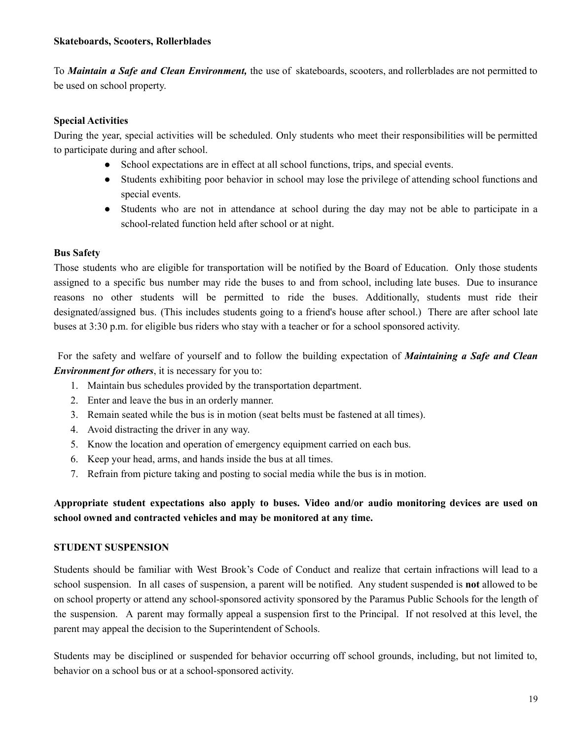To *Maintain a Safe and Clean Environment,* the use of skateboards, scooters, and rollerblades are not permitted to be used on school property.

### **Special Activities**

During the year, special activities will be scheduled. Only students who meet their responsibilities will be permitted to participate during and after school.

- School expectations are in effect at all school functions, trips, and special events.
- Students exhibiting poor behavior in school may lose the privilege of attending school functions and special events.
- Students who are not in attendance at school during the day may not be able to participate in a school-related function held after school or at night.

### **Bus Safety**

Those students who are eligible for transportation will be notified by the Board of Education. Only those students assigned to a specific bus number may ride the buses to and from school, including late buses. Due to insurance reasons no other students will be permitted to ride the buses. Additionally, students must ride their designated/assigned bus. (This includes students going to a friend's house after school.) There are after school late buses at 3:30 p.m. for eligible bus riders who stay with a teacher or for a school sponsored activity.

For the safety and welfare of yourself and to follow the building expectation of *Maintaining a Safe and Clean Environment for others*, it is necessary for you to:

- 1. Maintain bus schedules provided by the transportation department.
- 2. Enter and leave the bus in an orderly manner.
- 3. Remain seated while the bus is in motion (seat belts must be fastened at all times).
- 4. Avoid distracting the driver in any way.
- 5. Know the location and operation of emergency equipment carried on each bus.
- 6. Keep your head, arms, and hands inside the bus at all times.
- 7. Refrain from picture taking and posting to social media while the bus is in motion.

### **Appropriate student expectations also apply to buses. Video and/or audio monitoring devices are used on school owned and contracted vehicles and may be monitored at any time.**

### **STUDENT SUSPENSION**

Students should be familiar with West Brook's Code of Conduct and realize that certain infractions will lead to a school suspension. In all cases of suspension, a parent will be notified. Any student suspended is **not** allowed to be on school property or attend any school-sponsored activity sponsored by the Paramus Public Schools for the length of the suspension. A parent may formally appeal a suspension first to the Principal. If not resolved at this level, the parent may appeal the decision to the Superintendent of Schools.

Students may be disciplined or suspended for behavior occurring off school grounds, including, but not limited to, behavior on a school bus or at a school-sponsored activity.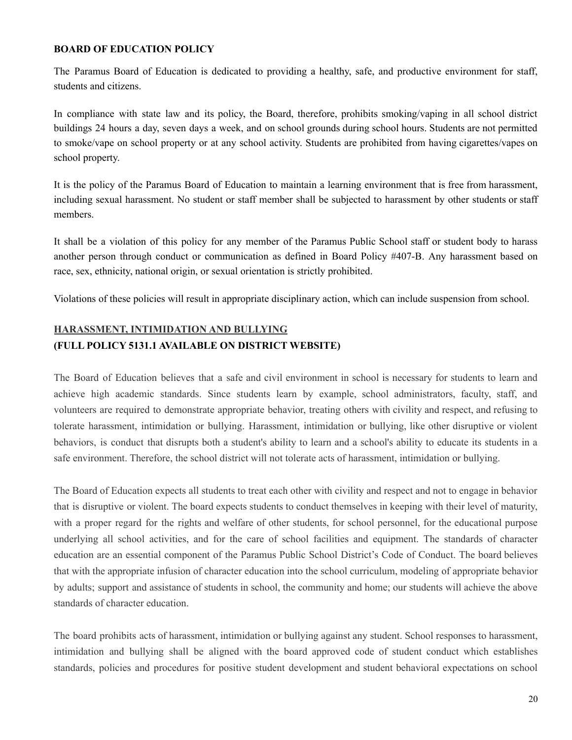### **BOARD OF EDUCATION POLICY**

The Paramus Board of Education is dedicated to providing a healthy, safe, and productive environment for staff, students and citizens.

In compliance with state law and its policy, the Board, therefore, prohibits smoking/vaping in all school district buildings 24 hours a day, seven days a week, and on school grounds during school hours. Students are not permitted to smoke/vape on school property or at any school activity. Students are prohibited from having cigarettes/vapes on school property.

It is the policy of the Paramus Board of Education to maintain a learning environment that is free from harassment, including sexual harassment. No student or staff member shall be subjected to harassment by other students or staff members.

It shall be a violation of this policy for any member of the Paramus Public School staff or student body to harass another person through conduct or communication as defined in Board Policy #407-B. Any harassment based on race, sex, ethnicity, national origin, or sexual orientation is strictly prohibited.

Violations of these policies will result in appropriate disciplinary action, which can include suspension from school.

# **HARASSMENT, INTIMIDATION AND BULLYING (FULL POLICY 5131.1 AVAILABLE ON DISTRICT WEBSITE)**

The Board of Education believes that a safe and civil environment in school is necessary for students to learn and achieve high academic standards. Since students learn by example, school administrators, faculty, staff, and volunteers are required to demonstrate appropriate behavior, treating others with civility and respect, and refusing to tolerate harassment, intimidation or bullying. Harassment, intimidation or bullying, like other disruptive or violent behaviors, is conduct that disrupts both a student's ability to learn and a school's ability to educate its students in a safe environment. Therefore, the school district will not tolerate acts of harassment, intimidation or bullying.

The Board of Education expects all students to treat each other with civility and respect and not to engage in behavior that is disruptive or violent. The board expects students to conduct themselves in keeping with their level of maturity, with a proper regard for the rights and welfare of other students, for school personnel, for the educational purpose underlying all school activities, and for the care of school facilities and equipment. The standards of character education are an essential component of the Paramus Public School District's Code of Conduct. The board believes that with the appropriate infusion of character education into the school curriculum, modeling of appropriate behavior by adults; support and assistance of students in school, the community and home; our students will achieve the above standards of character education.

The board prohibits acts of harassment, intimidation or bullying against any student. School responses to harassment, intimidation and bullying shall be aligned with the board approved code of student conduct which establishes standards, policies and procedures for positive student development and student behavioral expectations on school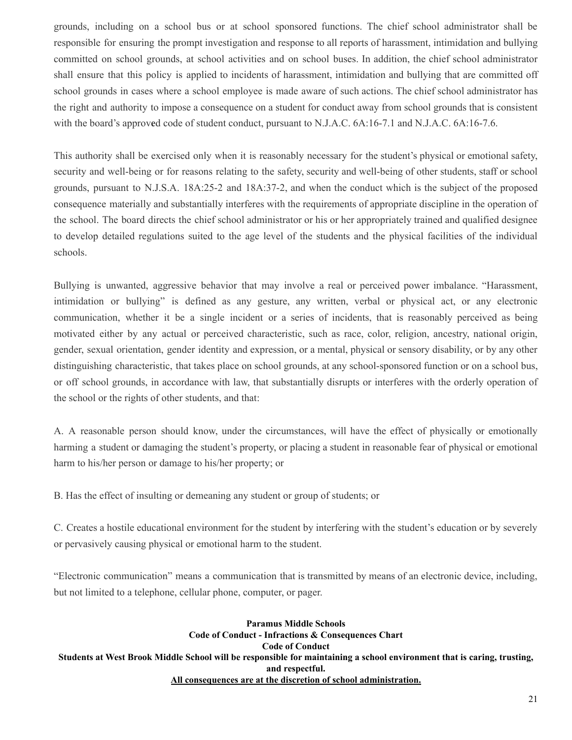grounds, including on a school bus or at school sponsored functions. The chief school administrator shall be responsible for ensuring the prompt investigation and response to all reports of harassment, intimidation and bullying committed on school grounds, at school activities and on school buses. In addition, the chief school administrator shall ensure that this policy is applied to incidents of harassment, intimidation and bullying that are committed off school grounds in cases where a school employee is made aware of such actions. The chief school administrator has the right and authority to impose a consequence on a student for conduct away from school grounds that is consistent with the board's approved code of student conduct, pursuant to N.J.A.C. 6A:16-7.1 and N.J.A.C. 6A:16-7.6.

This authority shall be exercised only when it is reasonably necessary for the student's physical or emotional safety, security and well-being or for reasons relating to the safety, security and well-being of other students, staff or school grounds, pursuant to N.J.S.A. 18A:25-2 and 18A:37-2, and when the conduct which is the subject of the proposed consequence materially and substantially interferes with the requirements of appropriate discipline in the operation of the school. The board directs the chief school administrator or his or her appropriately trained and qualified designee to develop detailed regulations suited to the age level of the students and the physical facilities of the individual schools.

Bullying is unwanted, aggressive behavior that may involve a real or perceived power imbalance. "Harassment, intimidation or bullying" is defined as any gesture, any written, verbal or physical act, or any electronic communication, whether it be a single incident or a series of incidents, that is reasonably perceived as being motivated either by any actual or perceived characteristic, such as race, color, religion, ancestry, national origin, gender, sexual orientation, gender identity and expression, or a mental, physical or sensory disability, or by any other distinguishing characteristic, that takes place on school grounds, at any school-sponsored function or on a school bus, or off school grounds, in accordance with law, that substantially disrupts or interferes with the orderly operation of the school or the rights of other students, and that:

A. A reasonable person should know, under the circumstances, will have the effect of physically or emotionally harming a student or damaging the student's property, or placing a student in reasonable fear of physical or emotional harm to his/her person or damage to his/her property; or

B. Has the effect of insulting or demeaning any student or group of students; or

C. Creates a hostile educational environment for the student by interfering with the student's education or by severely or pervasively causing physical or emotional harm to the student.

"Electronic communication" means a communication that is transmitted by means of an electronic device, including, but not limited to a telephone, cellular phone, computer, or pager.

**Paramus Middle Schools Code of Conduct - Infractions & Consequences Chart Code of Conduct** Students at West Brook Middle School will be responsible for maintaining a school environment that is caring, trusting, **and respectful. All consequences are at the discretion of school administration.**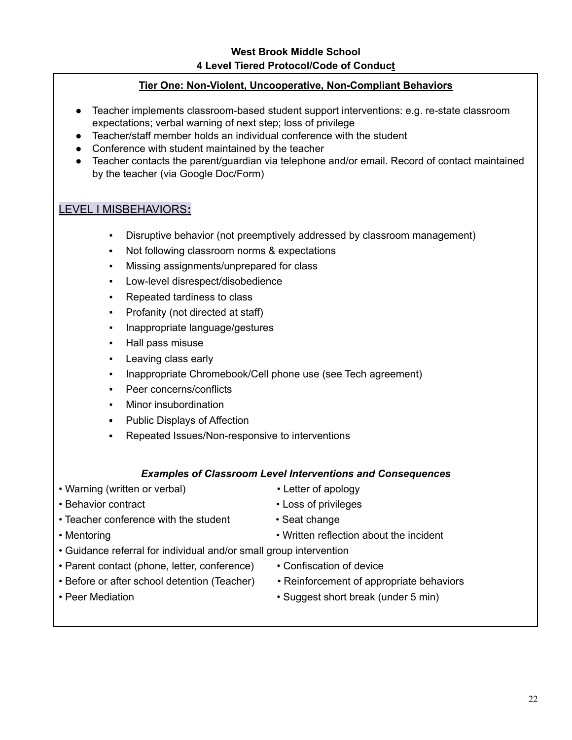### **Tier One: Non-Violent, Uncooperative, Non-Compliant Behaviors**

- Teacher implements classroom-based student support interventions: e.g. re-state classroom expectations; verbal warning of next step; loss of privilege
- Teacher/staff member holds an individual conference with the student
- Conference with student maintained by the teacher
- Teacher contacts the parent/guardian via telephone and/or email. Record of contact maintained by the teacher (via Google Doc/Form)

# LEVEL I MISBEHAVIORS**:**

- Disruptive behavior (not preemptively addressed by classroom management)
- Not following classroom norms & expectations
- Missing assignments/unprepared for class
- Low-level disrespect/disobedience
- Repeated tardiness to class
- Profanity (not directed at staff)
- Inappropriate language/gestures
- Hall pass misuse
- Leaving class early
- Inappropriate Chromebook/Cell phone use (see Tech agreement)
- Peer concerns/conflicts
- Minor insubordination
- Public Displays of Affection
- Repeated Issues/Non-responsive to interventions

### *Examples of Classroom Level Interventions and Consequences*

- Warning (written or verbal) Letter of apology
	-
- Behavior contract Loss of privileges
	-
- Teacher conference with the student Seat change
- 
- 
- Mentoring Written reflection about the incident
- Guidance referral for individual and/or small group intervention
- Parent contact (phone, letter, conference) Confiscation of device
- Before or after school detention (Teacher) Reinforcement of appropriate behaviors
- 
- 
- 
- Peer Mediation Suggest short break (under 5 min)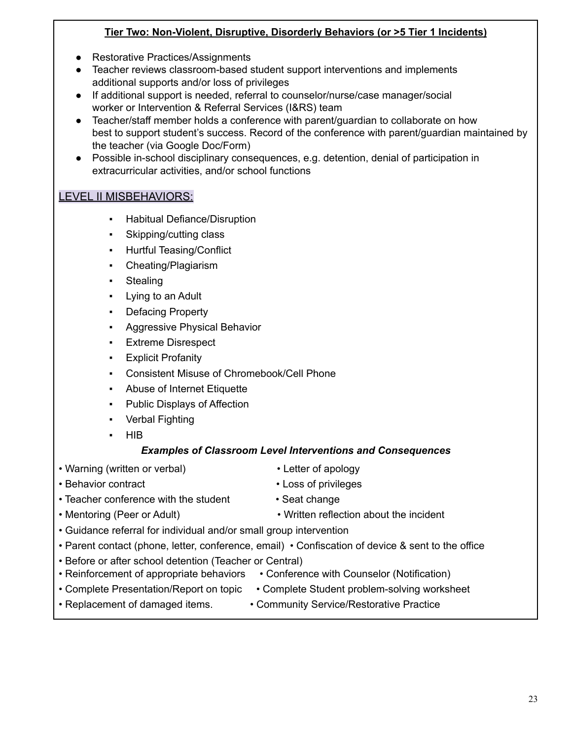### **Tier Two: Non-Violent, Disruptive, Disorderly Behaviors (or >5 Tier 1 Incidents)**

- Restorative Practices/Assignments
- Teacher reviews classroom-based student support interventions and implements additional supports and/or loss of privileges
- If additional support is needed, referral to counselor/nurse/case manager/social worker or Intervention & Referral Services (I&RS) team
- Teacher/staff member holds a conference with parent/guardian to collaborate on how best to support student's success. Record of the conference with parent/guardian maintained by the teacher (via Google Doc/Form)
- Possible in-school disciplinary consequences, e.g. detention, denial of participation in extracurricular activities, and/or school functions

# LEVEL II MISBEHAVIORS:

- Habitual Defiance/Disruption
- Skipping/cutting class
- **Hurtful Teasing/Conflict**
- Cheating/Plagiarism
- **Stealing**
- Lying to an Adult
- Defacing Property
- **Aggressive Physical Behavior**
- Extreme Disrespect
- **Explicit Profanity**
- Consistent Misuse of Chromebook/Cell Phone
- Abuse of Internet Etiquette
- **Public Displays of Affection**
- Verbal Fighting
- **HIB**

# *Examples of Classroom Level Interventions and Consequences*

- Warning (written or verbal) Letter of apology
	-
- Behavior contract Loss of privileges
- 
- 
- Teacher conference with the student Seat change
- 
- Mentoring (Peer or Adult) Written reflection about the incident
- Guidance referral for individual and/or small group intervention
- Parent contact (phone, letter, conference, email) Confiscation of device & sent to the office
- Before or after school detention (Teacher or Central)
- Reinforcement of appropriate behaviors Conference with Counselor (Notification)
- Complete Presentation/Report on topic Complete Student problem-solving worksheet
	-
- Replacement of damaged items. Community Service/Restorative Practice
	-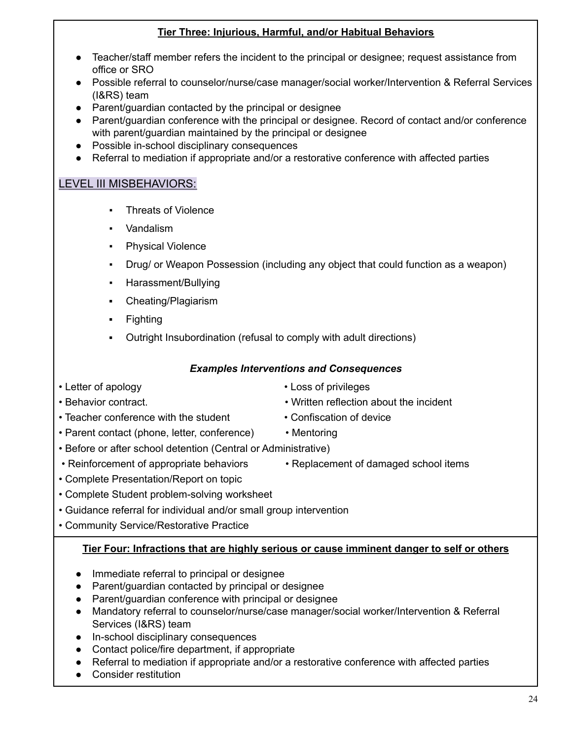### **Tier Three: Injurious, Harmful, and/or Habitual Behaviors**

- Teacher/staff member refers the incident to the principal or designee; request assistance from office or SRO
- Possible referral to counselor/nurse/case manager/social worker/Intervention & Referral Services (I&RS) team
- Parent/guardian contacted by the principal or designee
- Parent/guardian conference with the principal or designee. Record of contact and/or conference with parent/guardian maintained by the principal or designee
- Possible in-school disciplinary consequences
- Referral to mediation if appropriate and/or a restorative conference with affected parties

# LEVEL III MISBEHAVIORS:

- **Threats of Violence**
- Vandalism
- **Physical Violence**
- Drug/ or Weapon Possession (including any object that could function as a weapon)
- Harassment/Bullying
- Cheating/Plagiarism
- **Fighting**
- Outright Insubordination (refusal to comply with adult directions)

### *Examples Interventions and Consequences*

- Letter of apology  **Loss of privileges**
- 
- Teacher conference with the student Confiscation of device
- Parent contact (phone, letter, conference) Mentoring
- Before or after school detention (Central or Administrative)
- Reinforcement of appropriate behaviors Replacement of damaged school items
- 
- Complete Presentation/Report on topic
- Complete Student problem-solving worksheet
- Guidance referral for individual and/or small group intervention
- Community Service/Restorative Practice

### **Tier Four: Infractions that are highly serious or cause imminent danger to self or others**

- Immediate referral to principal or designee
- Parent/guardian contacted by principal or designee
- Parent/guardian conference with principal or designee
- Mandatory referral to counselor/nurse/case manager/social worker/Intervention & Referral Services (I&RS) team
- In-school disciplinary consequences
- Contact police/fire department, if appropriate
- Referral to mediation if appropriate and/or a restorative conference with affected parties
- Consider restitution
- Behavior contract. Written reflection about the incident
	-
	-